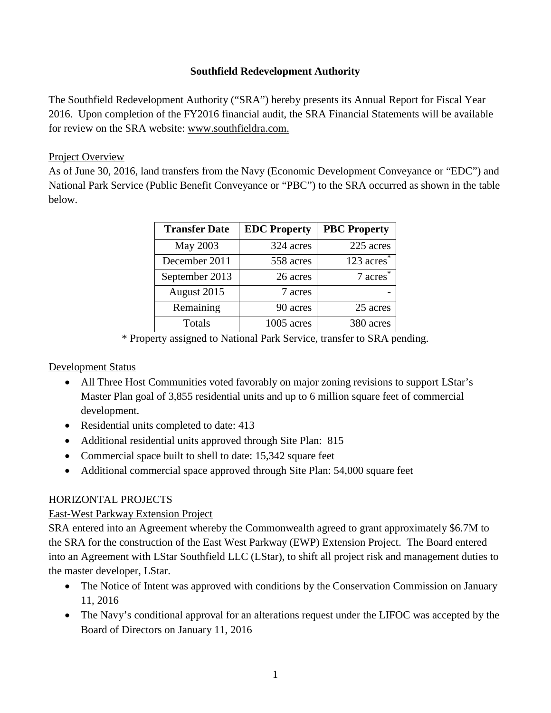### **Southfield Redevelopment Authority**

The Southfield Redevelopment Authority ("SRA") hereby presents its Annual Report for Fiscal Year 2016. Upon completion of the FY2016 financial audit, the SRA Financial Statements will be available for review on the SRA website: [www.southfieldra.com.](http://www.southfieldra.com/)

### Project Overview

As of June 30, 2016, land transfers from the Navy (Economic Development Conveyance or "EDC") and National Park Service (Public Benefit Conveyance or "PBC") to the SRA occurred as shown in the table below.

| <b>Transfer Date</b> | <b>EDC</b> Property | <b>PBC Property</b> |
|----------------------|---------------------|---------------------|
| May 2003             | 324 acres           | 225 acres           |
| December 2011        | 558 acres           | 123 $\arccos$       |
| September 2013       | 26 acres            | 7 acres             |
| August 2015          | 7 acres             |                     |
| Remaining            | 90 acres            | 25 acres            |
| Totals               | 1005 acres          | 380 acres           |

\* Property assigned to National Park Service, transfer to SRA pending.

## Development Status

- All Three Host Communities voted favorably on major zoning revisions to support LStar's Master Plan goal of 3,855 residential units and up to 6 million square feet of commercial development.
- Residential units completed to date: 413
- Additional residential units approved through Site Plan: 815
- Commercial space built to shell to date: 15,342 square feet
- Additional commercial space approved through Site Plan: 54,000 square feet

## HORIZONTAL PROJECTS

## East-West Parkway Extension Project

SRA entered into an Agreement whereby the Commonwealth agreed to grant approximately \$6.7M to the SRA for the construction of the East West Parkway (EWP) Extension Project. The Board entered into an Agreement with LStar Southfield LLC (LStar), to shift all project risk and management duties to the master developer, LStar.

- The Notice of Intent was approved with conditions by the Conservation Commission on January 11, 2016
- The Navy's conditional approval for an alterations request under the LIFOC was accepted by the Board of Directors on January 11, 2016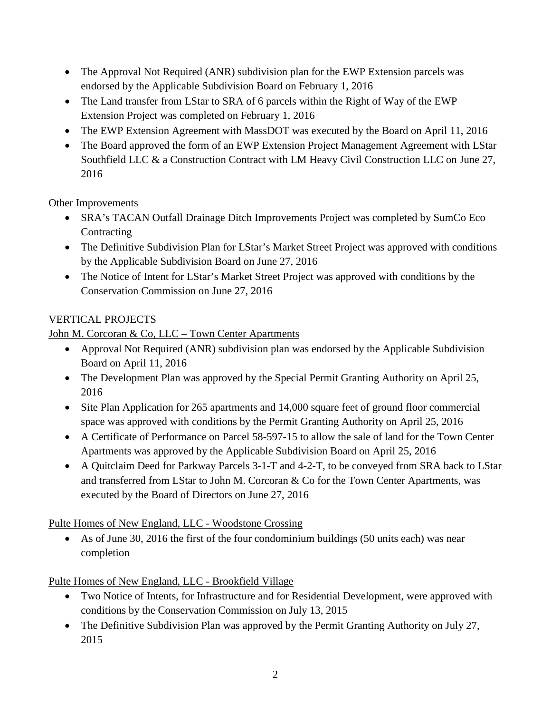- The Approval Not Required (ANR) subdivision plan for the EWP Extension parcels was endorsed by the Applicable Subdivision Board on February 1, 2016
- The Land transfer from LStar to SRA of 6 parcels within the Right of Way of the EWP Extension Project was completed on February 1, 2016
- The EWP Extension Agreement with MassDOT was executed by the Board on April 11, 2016
- The Board approved the form of an EWP Extension Project Management Agreement with LStar Southfield LLC & a Construction Contract with LM Heavy Civil Construction LLC on June 27, 2016

## Other Improvements

- SRA's TACAN Outfall Drainage Ditch Improvements Project was completed by SumCo Eco Contracting
- The Definitive Subdivision Plan for LStar's Market Street Project was approved with conditions by the Applicable Subdivision Board on June 27, 2016
- The Notice of Intent for LStar's Market Street Project was approved with conditions by the Conservation Commission on June 27, 2016

# VERTICAL PROJECTS

## John M. Corcoran & Co, LLC – Town Center Apartments

- Approval Not Required (ANR) subdivision plan was endorsed by the Applicable Subdivision Board on April 11, 2016
- The Development Plan was approved by the Special Permit Granting Authority on April 25, 2016
- Site Plan Application for 265 apartments and 14,000 square feet of ground floor commercial space was approved with conditions by the Permit Granting Authority on April 25, 2016
- A Certificate of Performance on Parcel 58-597-15 to allow the sale of land for the Town Center Apartments was approved by the Applicable Subdivision Board on April 25, 2016
- A Quitclaim Deed for Parkway Parcels 3-1-T and 4-2-T, to be conveyed from SRA back to LStar and transferred from LStar to John M. Corcoran & Co for the Town Center Apartments, was executed by the Board of Directors on June 27, 2016

## Pulte Homes of New England, LLC - Woodstone Crossing

• As of June 30, 2016 the first of the four condominium buildings (50 units each) was near completion

Pulte Homes of New England, LLC - Brookfield Village

- Two Notice of Intents, for Infrastructure and for Residential Development, were approved with conditions by the Conservation Commission on July 13, 2015
- The Definitive Subdivision Plan was approved by the Permit Granting Authority on July 27, 2015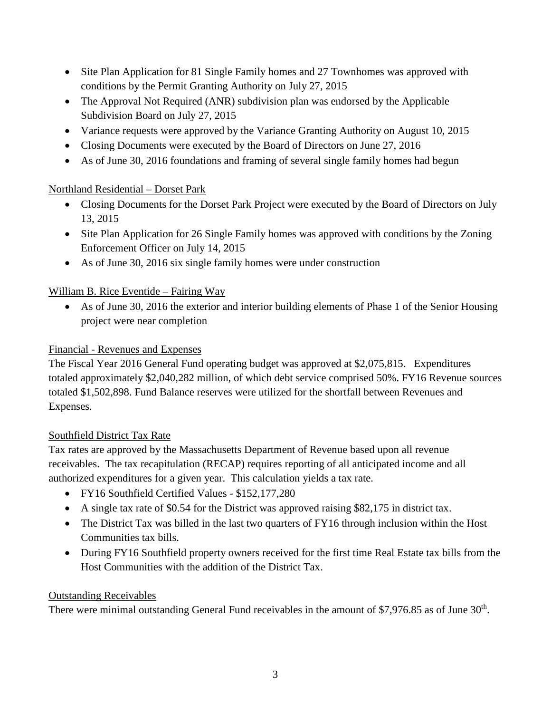- Site Plan Application for 81 Single Family homes and 27 Townhomes was approved with conditions by the Permit Granting Authority on July 27, 2015
- The Approval Not Required (ANR) subdivision plan was endorsed by the Applicable Subdivision Board on July 27, 2015
- Variance requests were approved by the Variance Granting Authority on August 10, 2015
- Closing Documents were executed by the Board of Directors on June 27, 2016
- As of June 30, 2016 foundations and framing of several single family homes had begun

## Northland Residential – Dorset Park

- Closing Documents for the Dorset Park Project were executed by the Board of Directors on July 13, 2015
- Site Plan Application for 26 Single Family homes was approved with conditions by the Zoning Enforcement Officer on July 14, 2015
- As of June 30, 2016 six single family homes were under construction

# William B. Rice Eventide – Fairing Way

• As of June 30, 2016 the exterior and interior building elements of Phase 1 of the Senior Housing project were near completion

## Financial - Revenues and Expenses

The Fiscal Year 2016 General Fund operating budget was approved at \$2,075,815. Expenditures totaled approximately \$2,040,282 million, of which debt service comprised 50%. FY16 Revenue sources totaled \$1,502,898. Fund Balance reserves were utilized for the shortfall between Revenues and Expenses.

## Southfield District Tax Rate

Tax rates are approved by the Massachusetts Department of Revenue based upon all revenue receivables. The tax recapitulation (RECAP) requires reporting of all anticipated income and all authorized expenditures for a given year. This calculation yields a tax rate.

- FY16 Southfield Certified Values \$152,177,280
- A single tax rate of \$0.54 for the District was approved raising \$82,175 in district tax.
- The District Tax was billed in the last two quarters of FY16 through inclusion within the Host Communities tax bills.
- During FY16 Southfield property owners received for the first time Real Estate tax bills from the Host Communities with the addition of the District Tax.

## Outstanding Receivables

There were minimal outstanding General Fund receivables in the amount of \$7,976.85 as of June 30<sup>th</sup>.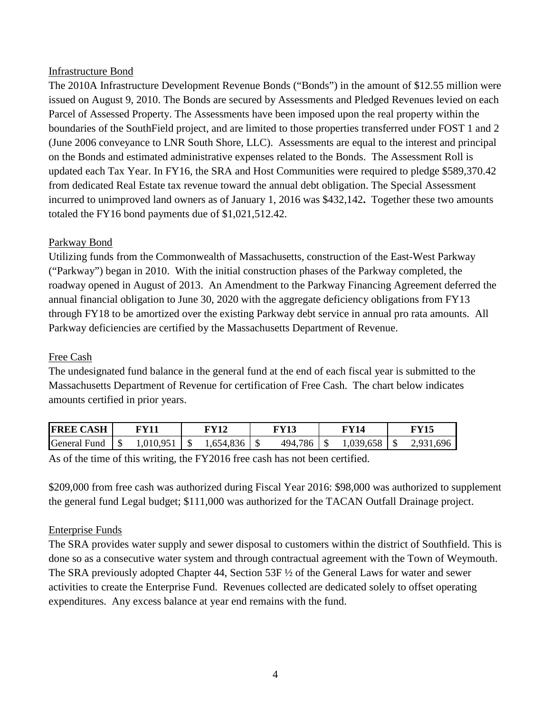#### Infrastructure Bond

The 2010A Infrastructure Development Revenue Bonds ("Bonds") in the amount of \$12.55 million were issued on August 9, 2010. The Bonds are secured by Assessments and Pledged Revenues levied on each Parcel of Assessed Property. The Assessments have been imposed upon the real property within the boundaries of the SouthField project, and are limited to those properties transferred under FOST 1 and 2 (June 2006 conveyance to LNR South Shore, LLC). Assessments are equal to the interest and principal on the Bonds and estimated administrative expenses related to the Bonds. The Assessment Roll is updated each Tax Year. In FY16, the SRA and Host Communities were required to pledge \$589,370.42 from dedicated Real Estate tax revenue toward the annual debt obligation. The Special Assessment incurred to unimproved land owners as of January 1, 2016 was \$432,142**.** Together these two amounts totaled the FY16 bond payments due of \$1,021,512.42.

### Parkway Bond

Utilizing funds from the Commonwealth of Massachusetts, construction of the East-West Parkway ("Parkway") began in 2010. With the initial construction phases of the Parkway completed, the roadway opened in August of 2013. An Amendment to the Parkway Financing Agreement deferred the annual financial obligation to June 30, 2020 with the aggregate deficiency obligations from FY13 through FY18 to be amortized over the existing Parkway debt service in annual pro rata amounts. All Parkway deficiencies are certified by the Massachusetts Department of Revenue.

### Free Cash

The undesignated fund balance in the general fund at the end of each fiscal year is submitted to the Massachusetts Department of Revenue for certification of Free Cash. The chart below indicates amounts certified in prior years.

| <b>FREE CASH</b> | FV11      | FY12      | GV17       | WY14     | GV15              |
|------------------|-----------|-----------|------------|----------|-------------------|
| General Fund     | 1,010,951 | 1,654,836 | 786<br>494 | .039,658 | 1,696<br>$\Omega$ |

As of the time of this writing, the FY2016 free cash has not been certified.

\$209,000 from free cash was authorized during Fiscal Year 2016: \$98,000 was authorized to supplement the general fund Legal budget; \$111,000 was authorized for the TACAN Outfall Drainage project.

### Enterprise Funds

The SRA provides water supply and sewer disposal to customers within the district of Southfield. This is done so as a consecutive water system and through contractual agreement with the Town of Weymouth. The SRA previously adopted Chapter 44, Section 53F ½ of the General Laws for water and sewer activities to create the Enterprise Fund. Revenues collected are dedicated solely to offset operating expenditures. Any excess balance at year end remains with the fund.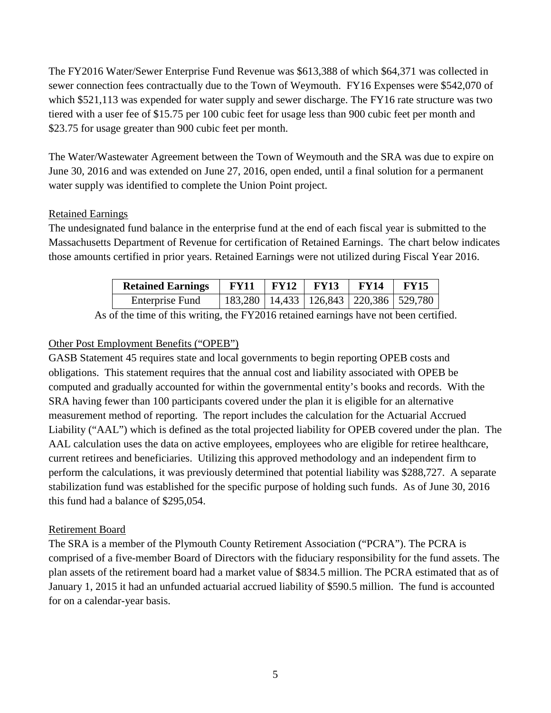The FY2016 Water/Sewer Enterprise Fund Revenue was \$613,388 of which \$64,371 was collected in sewer connection fees contractually due to the Town of Weymouth. FY16 Expenses were \$542,070 of which \$521,113 was expended for water supply and sewer discharge. The FY16 rate structure was two tiered with a user fee of \$15.75 per 100 cubic feet for usage less than 900 cubic feet per month and \$23.75 for usage greater than 900 cubic feet per month.

The Water/Wastewater Agreement between the Town of Weymouth and the SRA was due to expire on June 30, 2016 and was extended on June 27, 2016, open ended, until a final solution for a permanent water supply was identified to complete the Union Point project.

### Retained Earnings

The undesignated fund balance in the enterprise fund at the end of each fiscal year is submitted to the Massachusetts Department of Revenue for certification of Retained Earnings. The chart below indicates those amounts certified in prior years. Retained Earnings were not utilized during Fiscal Year 2016.

| <b>Retained Earnings</b> | <b>FY11</b> | <b>FY12</b> | <b>FY13</b>                                    | <b>FY14</b> | <b>FY15</b> |
|--------------------------|-------------|-------------|------------------------------------------------|-------------|-------------|
| Enterprise Fund          |             |             | 183,280   14,433   126,843   220,386   529,780 |             |             |

As of the time of this writing, the FY2016 retained earnings have not been certified.

## Other Post Employment Benefits ("OPEB")

GASB Statement 45 requires state and local governments to begin reporting OPEB costs and obligations. This statement requires that the annual cost and liability associated with OPEB be computed and gradually accounted for within the governmental entity's books and records. With the SRA having fewer than 100 participants covered under the plan it is eligible for an alternative measurement method of reporting. The report includes the calculation for the Actuarial Accrued Liability ("AAL") which is defined as the total projected liability for OPEB covered under the plan. The AAL calculation uses the data on active employees, employees who are eligible for retiree healthcare, current retirees and beneficiaries. Utilizing this approved methodology and an independent firm to perform the calculations, it was previously determined that potential liability was \$288,727. A separate stabilization fund was established for the specific purpose of holding such funds. As of June 30, 2016 this fund had a balance of \$295,054.

## Retirement Board

The SRA is a member of the Plymouth County Retirement Association ("PCRA"). The PCRA is comprised of a five-member Board of Directors with the fiduciary responsibility for the fund assets. The plan assets of the retirement board had a market value of \$834.5 million. The PCRA estimated that as of January 1, 2015 it had an unfunded actuarial accrued liability of \$590.5 million. The fund is accounted for on a calendar-year basis.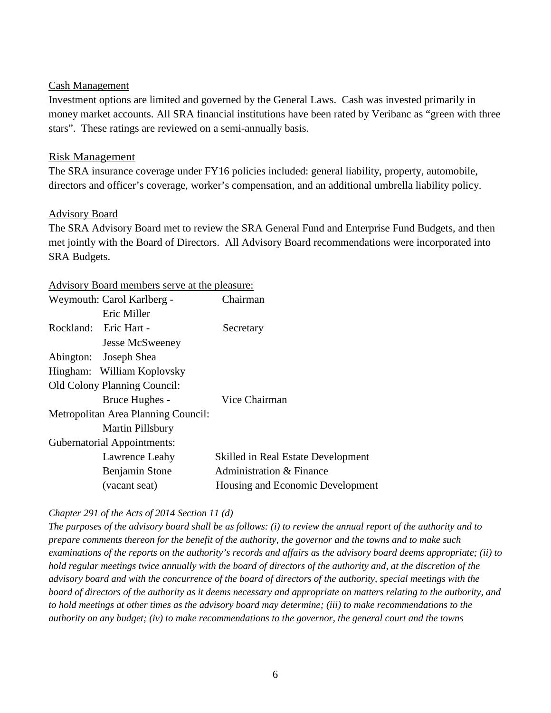#### Cash Management

Investment options are limited and governed by the General Laws. Cash was invested primarily in money market accounts. All SRA financial institutions have been rated by Veribanc as "green with three stars". These ratings are reviewed on a semi-annually basis.

#### Risk Management

The SRA insurance coverage under FY16 policies included: general liability, property, automobile, directors and officer's coverage, worker's compensation, and an additional umbrella liability policy.

#### Advisory Board

The SRA Advisory Board met to review the SRA General Fund and Enterprise Fund Budgets, and then met jointly with the Board of Directors. All Advisory Board recommendations were incorporated into SRA Budgets.

#### Advisory Board members serve at the pleasure:

|           | Weymouth: Carol Karlberg -          | Chairman                                  |
|-----------|-------------------------------------|-------------------------------------------|
|           | Eric Miller                         |                                           |
| Rockland: | Eric Hart -                         | Secretary                                 |
|           | <b>Jesse McSweeney</b>              |                                           |
|           | Abington: Joseph Shea               |                                           |
|           | Hingham: William Koplovsky          |                                           |
|           | <b>Old Colony Planning Council:</b> |                                           |
|           | Bruce Hughes -                      | Vice Chairman                             |
|           | Metropolitan Area Planning Council: |                                           |
|           | Martin Pillsbury                    |                                           |
|           | <b>Gubernatorial Appointments:</b>  |                                           |
|           | Lawrence Leahy                      | <b>Skilled in Real Estate Development</b> |
|           | Benjamin Stone                      | Administration & Finance                  |
|           | (vacant seat)                       | Housing and Economic Development          |

### *Chapter 291 of the Acts of 2014 Section 11 (d)*

*The purposes of the advisory board shall be as follows: (i) to review the annual report of the authority and to prepare comments thereon for the benefit of the authority, the governor and the towns and to make such examinations of the reports on the authority's records and affairs as the advisory board deems appropriate; (ii) to hold regular meetings twice annually with the board of directors of the authority and, at the discretion of the advisory board and with the concurrence of the board of directors of the authority, special meetings with the board of directors of the authority as it deems necessary and appropriate on matters relating to the authority, and to hold meetings at other times as the advisory board may determine; (iii) to make recommendations to the authority on any budget; (iv) to make recommendations to the governor, the general court and the towns*